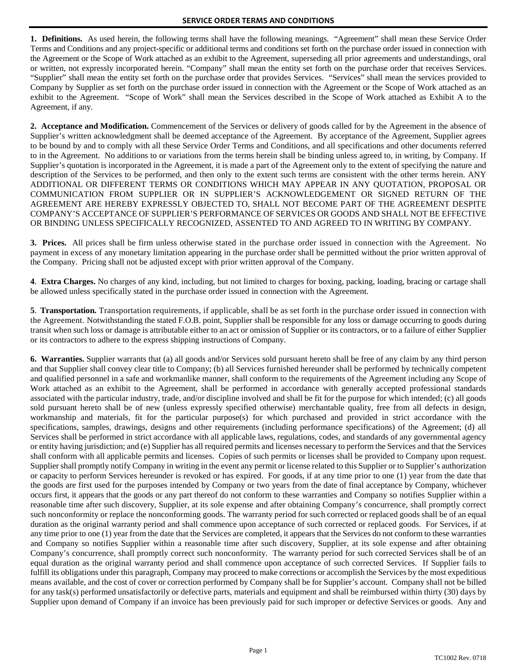**1. Definitions.** As used herein, the following terms shall have the following meanings. "Agreement" shall mean these Service Order Terms and Conditions and any project-specific or additional terms and conditions set forth on the purchase order issued in connection with the Agreement or the Scope of Work attached as an exhibit to the Agreement, superseding all prior agreements and understandings, oral or written, not expressly incorporated herein. "Company" shall mean the entity set forth on the purchase order that receives Services. "Supplier" shall mean the entity set forth on the purchase order that provides Services. "Services" shall mean the services provided to Company by Supplier as set forth on the purchase order issued in connection with the Agreement or the Scope of Work attached as an exhibit to the Agreement. "Scope of Work" shall mean the Services described in the Scope of Work attached as Exhibit A to the Agreement, if any.

**2. Acceptance and Modification.** Commencement of the Services or delivery of goods called for by the Agreement in the absence of Supplier's written acknowledgment shall be deemed acceptance of the Agreement. By acceptance of the Agreement, Supplier agrees to be bound by and to comply with all these Service Order Terms and Conditions, and all specifications and other documents referred to in the Agreement. No additions to or variations from the terms herein shall be binding unless agreed to, in writing, by Company. If Supplier's quotation is incorporated in the Agreement, it is made a part of the Agreement only to the extent of specifying the nature and description of the Services to be performed, and then only to the extent such terms are consistent with the other terms herein. ANY ADDITIONAL OR DIFFERENT TERMS OR CONDITIONS WHICH MAY APPEAR IN ANY QUOTATION, PROPOSAL OR COMMUNICATION FROM SUPPLIER OR IN SUPPLIER'S ACKNOWLEDGEMENT OR SIGNED RETURN OF THE AGREEMENT ARE HEREBY EXPRESSLY OBJECTED TO, SHALL NOT BECOME PART OF THE AGREEMENT DESPITE COMPANY'S ACCEPTANCE OF SUPPLIER'S PERFORMANCE OF SERVICES OR GOODS AND SHALL NOT BE EFFECTIVE OR BINDING UNLESS SPECIFICALLY RECOGNIZED, ASSENTED TO AND AGREED TO IN WRITING BY COMPANY.

**3. Prices.** All prices shall be firm unless otherwise stated in the purchase order issued in connection with the Agreement. No payment in excess of any monetary limitation appearing in the purchase order shall be permitted without the prior written approval of the Company. Pricing shall not be adjusted except with prior written approval of the Company.

**4**. **Extra Charges.** No charges of any kind, including, but not limited to charges for boxing, packing, loading, bracing or cartage shall be allowed unless specifically stated in the purchase order issued in connection with the Agreement.

**5**. **Transportation.** Transportation requirements, if applicable, shall be as set forth in the purchase order issued in connection with the Agreement. Notwithstanding the stated F.O.B. point, Supplier shall be responsible for any loss or damage occurring to goods during transit when such loss or damage is attributable either to an act or omission of Supplier or its contractors, or to a failure of either Supplier or its contractors to adhere to the express shipping instructions of Company.

**6. Warranties.** Supplier warrants that (a) all goods and/or Services sold pursuant hereto shall be free of any claim by any third person and that Supplier shall convey clear title to Company; (b) all Services furnished hereunder shall be performed by technically competent and qualified personnel in a safe and workmanlike manner, shall conform to the requirements of the Agreement including any Scope of Work attached as an exhibit to the Agreement, shall be performed in accordance with generally accepted professional standards associated with the particular industry, trade, and/or discipline involved and shall be fit for the purpose for which intended; (c) all goods sold pursuant hereto shall be of new (unless expressly specified otherwise) merchantable quality, free from all defects in design, workmanship and materials, fit for the particular purpose(s) for which purchased and provided in strict accordance with the specifications, samples, drawings, designs and other requirements (including performance specifications) of the Agreement; (d) all Services shall be performed in strict accordance with all applicable laws, regulations, codes, and standards of any governmental agency or entity having jurisdiction; and (e) Supplier has all required permits and licenses necessary to perform the Services and that the Services shall conform with all applicable permits and licenses. Copies of such permits or licenses shall be provided to Company upon request. Supplier shall promptly notify Company in writing in the event any permit or license related to this Supplier or to Supplier's authorization or capacity to perform Services hereunder is revoked or has expired. For goods, if at any time prior to one (1) year from the date that the goods are first used for the purposes intended by Company or two years from the date of final acceptance by Company, whichever occurs first, it appears that the goods or any part thereof do not conform to these warranties and Company so notifies Supplier within a reasonable time after such discovery, Supplier, at its sole expense and after obtaining Company's concurrence, shall promptly correct such nonconformity or replace the nonconforming goods. The warranty period for such corrected or replaced goods shall be of an equal duration as the original warranty period and shall commence upon acceptance of such corrected or replaced goods. For Services, if at any time prior to one (1) year from the date that the Services are completed, it appears that the Services do not conform to these warranties and Company so notifies Supplier within a reasonable time after such discovery, Supplier, at its sole expense and after obtaining Company's concurrence, shall promptly correct such nonconformity. The warranty period for such corrected Services shall be of an equal duration as the original warranty period and shall commence upon acceptance of such corrected Services. If Supplier fails to fulfill its obligations under this paragraph, Company may proceed to make corrections or accomplish the Services by the most expeditious means available, and the cost of cover or correction performed by Company shall be for Supplier's account. Company shall not be billed for any task(s) performed unsatisfactorily or defective parts, materials and equipment and shall be reimbursed within thirty (30) days by Supplier upon demand of Company if an invoice has been previously paid for such improper or defective Services or goods. Any and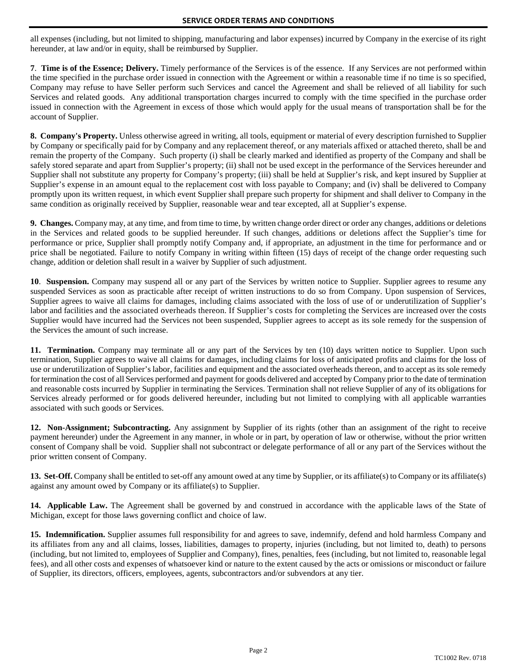all expenses (including, but not limited to shipping, manufacturing and labor expenses) incurred by Company in the exercise of its right hereunder, at law and/or in equity, shall be reimbursed by Supplier.

**7**. **Time is of the Essence; Delivery.** Timely performance of the Services is of the essence. If any Services are not performed within the time specified in the purchase order issued in connection with the Agreement or within a reasonable time if no time is so specified, Company may refuse to have Seller perform such Services and cancel the Agreement and shall be relieved of all liability for such Services and related goods. Any additional transportation charges incurred to comply with the time specified in the purchase order issued in connection with the Agreement in excess of those which would apply for the usual means of transportation shall be for the account of Supplier.

**8. Company's Property.** Unless otherwise agreed in writing, all tools, equipment or material of every description furnished to Supplier by Company or specifically paid for by Company and any replacement thereof, or any materials affixed or attached thereto, shall be and remain the property of the Company. Such property (i) shall be clearly marked and identified as property of the Company and shall be safely stored separate and apart from Supplier's property; (ii) shall not be used except in the performance of the Services hereunder and Supplier shall not substitute any property for Company's property; (iii) shall be held at Supplier's risk, and kept insured by Supplier at Supplier's expense in an amount equal to the replacement cost with loss payable to Company; and (iv) shall be delivered to Company promptly upon its written request, in which event Supplier shall prepare such property for shipment and shall deliver to Company in the same condition as originally received by Supplier, reasonable wear and tear excepted, all at Supplier's expense.

**9. Changes.** Company may, at any time, and from time to time, by written change order direct or order any changes, additions or deletions in the Services and related goods to be supplied hereunder. If such changes, additions or deletions affect the Supplier's time for performance or price, Supplier shall promptly notify Company and, if appropriate, an adjustment in the time for performance and or price shall be negotiated. Failure to notify Company in writing within fifteen (15) days of receipt of the change order requesting such change, addition or deletion shall result in a waiver by Supplier of such adjustment.

**10**. **Suspension.** Company may suspend all or any part of the Services by written notice to Supplier. Supplier agrees to resume any suspended Services as soon as practicable after receipt of written instructions to do so from Company. Upon suspension of Services, Supplier agrees to waive all claims for damages, including claims associated with the loss of use of or underutilization of Supplier's labor and facilities and the associated overheads thereon. If Supplier's costs for completing the Services are increased over the costs Supplier would have incurred had the Services not been suspended, Supplier agrees to accept as its sole remedy for the suspension of the Services the amount of such increase.

**11. Termination.** Company may terminate all or any part of the Services by ten (10) days written notice to Supplier. Upon such termination, Supplier agrees to waive all claims for damages, including claims for loss of anticipated profits and claims for the loss of use or underutilization of Supplier's labor, facilities and equipment and the associated overheads thereon, and to accept as its sole remedy for termination the cost of all Services performed and payment for goods delivered and accepted by Company prior to the date of termination and reasonable costs incurred by Supplier in terminating the Services. Termination shall not relieve Supplier of any of its obligations for Services already performed or for goods delivered hereunder, including but not limited to complying with all applicable warranties associated with such goods or Services.

**12. Non-Assignment; Subcontracting.** Any assignment by Supplier of its rights (other than an assignment of the right to receive payment hereunder) under the Agreement in any manner, in whole or in part, by operation of law or otherwise, without the prior written consent of Company shall be void. Supplier shall not subcontract or delegate performance of all or any part of the Services without the prior written consent of Company.

**13. Set-Off.** Company shall be entitled to set-off any amount owed at any time by Supplier, or its affiliate(s) to Company or its affiliate(s) against any amount owed by Company or its affiliate(s) to Supplier.

**14. Applicable Law.** The Agreement shall be governed by and construed in accordance with the applicable laws of the State of Michigan, except for those laws governing conflict and choice of law.

**15. Indemnification.** Supplier assumes full responsibility for and agrees to save, indemnify, defend and hold harmless Company and its affiliates from any and all claims, losses, liabilities, damages to property, injuries (including, but not limited to, death) to persons (including, but not limited to, employees of Supplier and Company), fines, penalties, fees (including, but not limited to, reasonable legal fees), and all other costs and expenses of whatsoever kind or nature to the extent caused by the acts or omissions or misconduct or failure of Supplier, its directors, officers, employees, agents, subcontractors and/or subvendors at any tier.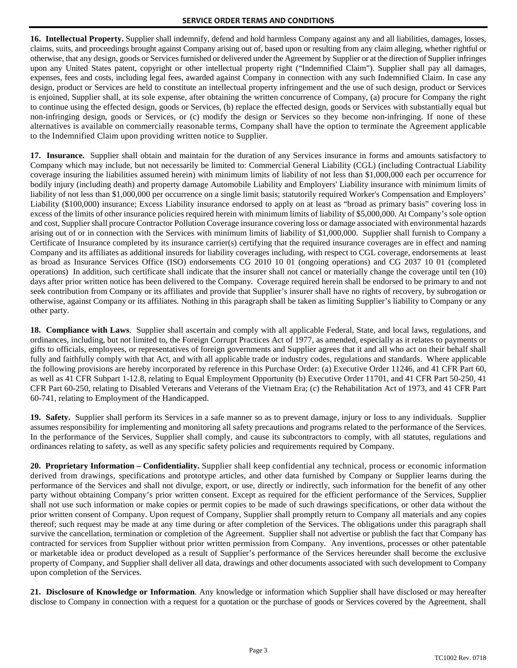**16. Intellectual Property.** Supplier shall indemnify, defend and hold harmless Company against any and all liabilities, damages, losses, claims, suits, and proceedings brought against Company arising out of, based upon or resulting from any claim alleging, whether rightful or otherwise, that any design, goods or Servicesfurnished or delivered under the Agreement by Supplier or at the direction of Supplier infringes upon any United States patent, copyright or other intellectual property right ("Indemnified Claim"). Supplier shall pay all damages, expenses, fees and costs, including legal fees, awarded against Company in connection with any such Indemnified Claim. In case any design, product or Services are held to constitute an intellectual property infringement and the use of such design, product or Services is enjoined, Supplier shall, at its sole expense, after obtaining the written concurrence of Company, (a) procure for Company the right to continue using the effected design, goods or Services, (b) replace the effected design, goods or Services with substantially equal but non-infringing design, goods or Services, or (c) modify the design or Services so they become non-infringing. If none of these alternatives is available on commercially reasonable terms, Company shall have the option to terminate the Agreement applicable to the Indemnified Claim upon providing written notice to Supplier.

**17. Insurance.** Supplier shall obtain and maintain for the duration of any Services insurance in forms and amounts satisfactory to Company which may include, but not necessarily be limited to: Commercial General Liability (CGL) (including Contractual Liability coverage insuring the liabilities assumed herein) with minimum limits of liability of not less than \$1,000,000 each per occurrence for bodily injury (including death) and property damage Automobile Liability and Employers' Liability insurance with minimum limits of liability of not less than \$1,000,000 per occurrence on a single limit basis; statutorily required Worker's Compensation and Employers' Liability (\$100,000) insurance; Excess Liability insurance endorsed to apply on at least as "broad as primary basis" covering loss in excess of the limits of other insurance policies required herein with minimum limits of liability of \$5,000,000. At Company's sole option and cost, Supplier shall procure Contractor Pollution Coverage insurance covering loss or damage associated with environmental hazards arising out of or in connection with the Services with minimum limits of liability of \$1,000,000. Supplier shall furnish to Company a Certificate of Insurance completed by its insurance carrier(s) certifying that the required insurance coverages are in effect and naming Company and its affiliates as additional insureds for liability coverages including, with respect to CGL coverage, endorsements at least as broad as Insurance Services Office (ISO) endorsements CG 2010 10 01 (ongoing operations) and CG 2037 10 01 (completed operations) In addition, such certificate shall indicate that the insurer shall not cancel or materially change the coverage until ten (10) days after prior written notice has been delivered to the Company. Coverage required herein shall be endorsed to be primary to and not seek contribution from Company or its affiliates and provide that Supplier's insurer shall have no rights of recovery, by subrogation or otherwise, against Company or its affiliates. Nothing in this paragraph shall be taken as limiting Supplier's liability to Company or any other party.

**18. Compliance with Laws**. Supplier shall ascertain and comply with all applicable Federal, State, and local laws, regulations, and ordinances, including, but not limited to, the Foreign Corrupt Practices Act of 1977, as amended, especially as it relates to payments or gifts to officials, employees, or representatives of foreign governments and Supplier agrees that it and all who act on their behalf shall fully and faithfully comply with that Act, and with all applicable trade or industry codes, regulations and standards. Where applicable the following provisions are hereby incorporated by reference in this Purchase Order: (a) Executive Order 11246, and 41 CFR Part 60, as well as 41 CFR Subpart 1-12.8, relating to Equal Employment Opportunity (b) Executive Order 11701, and 41 CFR Part 50-250, 41 CFR Part 60-250, relating to Disabled Veterans and Veterans of the Vietnam Era; (c) the Rehabilitation Act of 1973, and 41 CFR Part 60-741, relating to Employment of the Handicapped.

**19. Safety.** Supplier shall perform its Services in a safe manner so as to prevent damage, injury or loss to any individuals. Supplier assumes responsibility for implementing and monitoring all safety precautions and programs related to the performance of the Services. In the performance of the Services, Supplier shall comply, and cause its subcontractors to comply, with all statutes, regulations and ordinances relating to safety, as well as any specific safety policies and requirements required by Company.

**20. Proprietary Information – Confidentiality.** Supplier shall keep confidential any technical, process or economic information derived from drawings, specifications and prototype articles, and other data furnished by Company or Supplier learns during the performance of the Services and shall not divulge, export, or use, directly or indirectly, such information for the benefit of any other party without obtaining Company's prior written consent. Except as required for the efficient performance of the Services, Supplier shall not use such information or make copies or permit copies to be made of such drawings specifications, or other data without the prior written consent of Company. Upon request of Company, Supplier shall promptly return to Company all materials and any copies thereof; such request may be made at any time during or after completion of the Services. The obligations under this paragraph shall survive the cancellation, termination or completion of the Agreement. Supplier shall not advertise or publish the fact that Company has contracted for services from Supplier without prior written permission from Company. Any inventions, processes or other patentable or marketable idea or product developed as a result of Supplier's performance of the Services hereunder shall become the exclusive property of Company, and Supplier shall deliver all data, drawings and other documents associated with such development to Company upon completion of the Services.

**21. Disclosure of Knowledge or Information**. Any knowledge or information which Supplier shall have disclosed or may hereafter disclose to Company in connection with a request for a quotation or the purchase of goods or Services covered by the Agreement, shall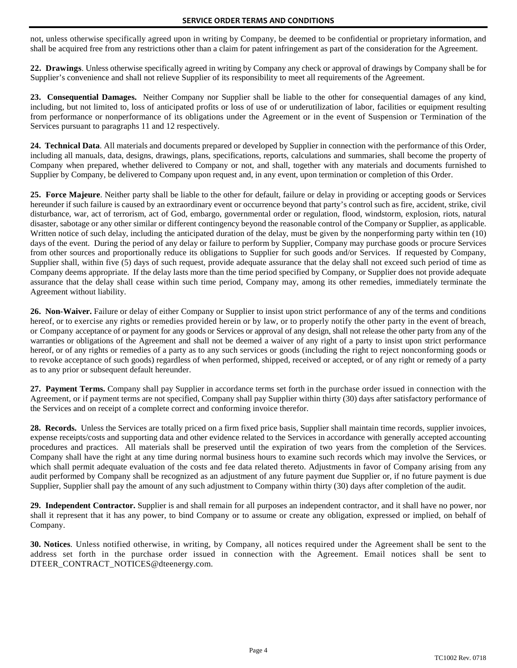not, unless otherwise specifically agreed upon in writing by Company, be deemed to be confidential or proprietary information, and shall be acquired free from any restrictions other than a claim for patent infringement as part of the consideration for the Agreement.

**22. Drawings**. Unless otherwise specifically agreed in writing by Company any check or approval of drawings by Company shall be for Supplier's convenience and shall not relieve Supplier of its responsibility to meet all requirements of the Agreement.

**23. Consequential Damages.** Neither Company nor Supplier shall be liable to the other for consequential damages of any kind, including, but not limited to, loss of anticipated profits or loss of use of or underutilization of labor, facilities or equipment resulting from performance or nonperformance of its obligations under the Agreement or in the event of Suspension or Termination of the Services pursuant to paragraphs 11 and 12 respectively.

**24. Technical Data**. All materials and documents prepared or developed by Supplier in connection with the performance of this Order, including all manuals, data, designs, drawings, plans, specifications, reports, calculations and summaries, shall become the property of Company when prepared, whether delivered to Company or not, and shall, together with any materials and documents furnished to Supplier by Company, be delivered to Company upon request and, in any event, upon termination or completion of this Order.

**25. Force Majeure**. Neither party shall be liable to the other for default, failure or delay in providing or accepting goods or Services hereunder if such failure is caused by an extraordinary event or occurrence beyond that party's control such as fire, accident, strike, civil disturbance, war, act of terrorism, act of God, embargo, governmental order or regulation, flood, windstorm, explosion, riots, natural disaster, sabotage or any other similar or different contingency beyond the reasonable control of the Company or Supplier, as applicable. Written notice of such delay, including the anticipated duration of the delay, must be given by the nonperforming party within ten (10) days of the event. During the period of any delay or failure to perform by Supplier, Company may purchase goods or procure Services from other sources and proportionally reduce its obligations to Supplier for such goods and/or Services. If requested by Company, Supplier shall, within five (5) days of such request, provide adequate assurance that the delay shall not exceed such period of time as Company deems appropriate. If the delay lasts more than the time period specified by Company, or Supplier does not provide adequate assurance that the delay shall cease within such time period, Company may, among its other remedies, immediately terminate the Agreement without liability.

**26. Non-Waiver.** Failure or delay of either Company or Supplier to insist upon strict performance of any of the terms and conditions hereof, or to exercise any rights or remedies provided herein or by law, or to properly notify the other party in the event of breach, or Company acceptance of or payment for any goods or Services or approval of any design, shall not release the other party from any of the warranties or obligations of the Agreement and shall not be deemed a waiver of any right of a party to insist upon strict performance hereof, or of any rights or remedies of a party as to any such services or goods (including the right to reject nonconforming goods or to revoke acceptance of such goods) regardless of when performed, shipped, received or accepted, or of any right or remedy of a party as to any prior or subsequent default hereunder.

**27. Payment Terms.** Company shall pay Supplier in accordance terms set forth in the purchase order issued in connection with the Agreement, or if payment terms are not specified, Company shall pay Supplier within thirty (30) days after satisfactory performance of the Services and on receipt of a complete correct and conforming invoice therefor.

**28. Records.** Unless the Services are totally priced on a firm fixed price basis, Supplier shall maintain time records, supplier invoices, expense receipts/costs and supporting data and other evidence related to the Services in accordance with generally accepted accounting procedures and practices. All materials shall be preserved until the expiration of two years from the completion of the Services. Company shall have the right at any time during normal business hours to examine such records which may involve the Services, or which shall permit adequate evaluation of the costs and fee data related thereto. Adjustments in favor of Company arising from any audit performed by Company shall be recognized as an adjustment of any future payment due Supplier or, if no future payment is due Supplier, Supplier shall pay the amount of any such adjustment to Company within thirty (30) days after completion of the audit.

**29. Independent Contractor.** Supplier is and shall remain for all purposes an independent contractor, and it shall have no power, nor shall it represent that it has any power, to bind Company or to assume or create any obligation, expressed or implied, on behalf of Company.

**30. Notices**. Unless notified otherwise, in writing, by Company, all notices required under the Agreement shall be sent to the address set forth in the purchase order issued in connection with the Agreement. Email notices shall be sent to DTEER\_CONTRACT\_NOTICES@dteenergy.com.